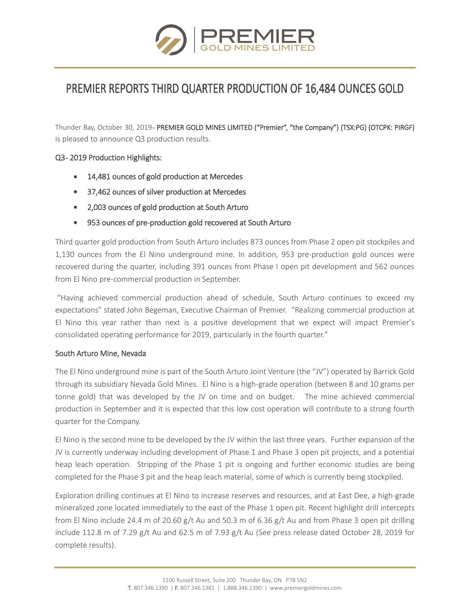

# PREMIER REPORTS THIRD QUARTER PRODUCTION OF 16,484 OUNCES GOLD

Thunder Bay, October 30, 2019 - PREMIER GOLD MINES LIMITED ("Premier", "the Company") (TSX:PG) (OTCPK: PIRGF) is pleased to announce Q3 production results.

# Q3-2019 Production Highlights:

- 14,481 ounces of gold production at Mercedes
- 37,462 ounces of silver production at Mercedes
- 2,003 ounces of gold production at South Arturo
- 953 ounces of pre-production gold recovered at South Arturo

Third quarter gold production from South Arturo includes 873 ounces from Phase 2 open pit stockpiles and 1,130 ounces from the El Nino underground mine. In addition, 953 pre-production gold ounces were recovered during the quarter, including 391 ounces from Phase I open pit development and 562 ounces from El Nino pre-commercial production in September.

"Having achieved commercial production ahead of schedule, South Arturo continues to exceed my expectations" stated John Begeman, Executive Chairman of Premier. "Realizing commercial production at El Nino this year rather than next is a positive development that we expect will impact Premier's consolidated operating performance for 2019, particularly in the fourth quarter."

#### South Arturo Mine, Nevada

The El Nino underground mine is part of the South Arturo Joint Venture (the "JV") operated by Barrick Gold through its subsidiary Nevada Gold Mines. El Nino is a high-grade operation (between 8 and 10 grams per tonne gold) that was developed by the JV on time and on budget. The mine achieved commercial production in September and it is expected that this low cost operation will contribute to a strong fourth quarter for the Company.

El Nino is the second mine to be developed by the JV within the last three years. Further expansion of the JV is currently underway including development of Phase 1 and Phase 3 open pit projects, and a potential heap leach operation. Stripping of the Phase 1 pit is ongoing and further economic studies are being completed for the Phase 3 pit and the heap leach material, some of which is currently being stockpiled.

Exploration drilling continues at El Nino to increase reserves and resources, and at East Dee, a high-grade mineralized zone located immediately to the east of the Phase 1 open pit. Recent highlight drill intercepts from El Nino include 24.4 m of 20.60 g/t Au and 50.3 m of 6.36 g/t Au and from Phase 3 open pit drilling include 112.8 m of 7.29 g/t Au and 62.5 m of 7.93 g/t Au (See press release dated October 28, 2019 for complete results).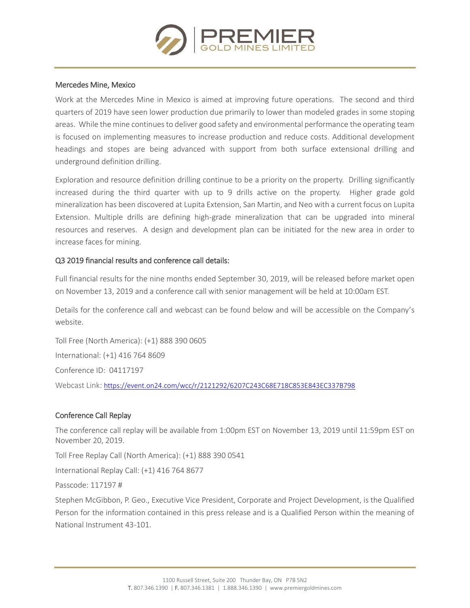

## Mercedes Mine, Mexico

Work at the Mercedes Mine in Mexico is aimed at improving future operations. The second and third quarters of 2019 have seen lower production due primarily to lower than modeled grades in some stoping areas. While the mine continues to deliver good safety and environmental performance the operating team is focused on implementing measures to increase production and reduce costs. Additional development headings and stopes are being advanced with support from both surface extensional drilling and underground definition drilling.

Exploration and resource definition drilling continue to be a priority on the property. Drilling significantly increased during the third quarter with up to 9 drills active on the property. Higher grade gold mineralization has been discovered at Lupita Extension, San Martin, and Neo with a current focus on Lupita Extension. Multiple drills are defining high-grade mineralization that can be upgraded into mineral resources and reserves. A design and development plan can be initiated for the new area in order to increase faces for mining.

## Q3 2019 financial results and conference call details:

Full financial results for the nine months ended September 30, 2019, will be released before market open on November 13, 2019 and a conference call with senior management will be held at 10:00am EST.

Details for the conference call and webcast can be found below and will be accessible on the Company's website.

Toll Free (North America): (+1) 888 390 0605 International: (+1) 416 764 8609 Conference ID: 04117197

Webcast Link: <https://event.on24.com/wcc/r/2121292/6207C243C68E718C853E843EC337B798>

#### Conference Call Replay

The conference call replay will be available from 1:00pm EST on November 13, 2019 until 11:59pm EST on November 20, 2019.

Toll Free Replay Call (North America): (+1) 888 390 0541

International Replay Call: (+1) 416 764 8677

Passcode: 117197 #

Stephen McGibbon, P. Geo., Executive Vice President, Corporate and Project Development, is the Qualified Person for the information contained in this press release and is a Qualified Person within the meaning of National Instrument 43-101.